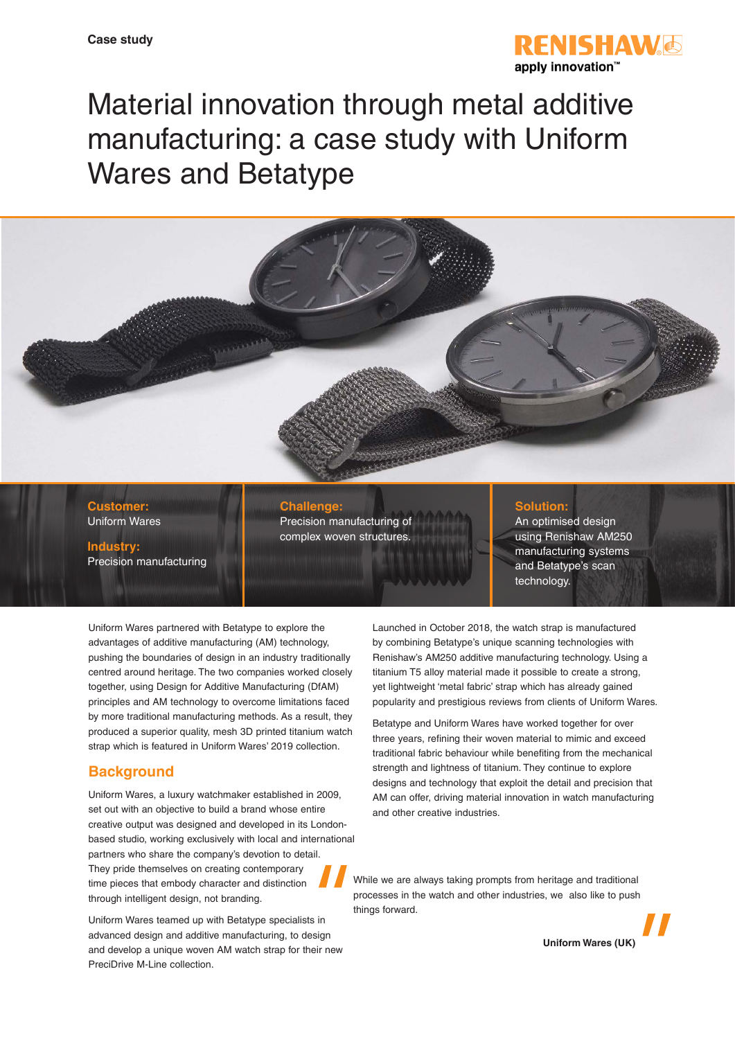

# Material innovation through metal additive manufacturing: a case study with Uniform Wares and Betatype



**Customer:** Uniform Wares

**Industry:** Precision manufacturing

#### **Challenge:**

Precision manufacturing of complex woven structures.

#### **Solution:**

An optimised design using Renishaw AM250 manufacturing systems and Betatype's scan technology.

Uniform Wares partnered with Betatype to explore the advantages of additive manufacturing (AM) technology, pushing the boundaries of design in an industry traditionally centred around heritage. The two companies worked closely together, using Design for Additive Manufacturing (DfAM) principles and AM technology to overcome limitations faced by more traditional manufacturing methods. As a result, they produced a superior quality, mesh 3D printed titanium watch strap which is featured in Uniform Wares' 2019 collection.

# **Background**

Uniform Wares, a luxury watchmaker established in 2009, set out with an objective to build a brand whose entire creative output was designed and developed in its Londonbased studio, working exclusively with local and international partners who share the company's devotion to detail. They pride themselves on creating contemporary time pieces that embody character and distinction through intelligent design, not branding.

Uniform Wares teamed up with Betatype specialists in advanced design and additive manufacturing, to design and develop a unique woven AM watch strap for their new PreciDrive M-Line collection.

Launched in October 2018, the watch strap is manufactured by combining Betatype's unique scanning technologies with Renishaw's AM250 additive manufacturing technology. Using a titanium T5 alloy material made it possible to create a strong, yet lightweight 'metal fabric' strap which has already gained popularity and prestigious reviews from clients of Uniform Wares.

Betatype and Uniform Wares have worked together for over three years, refining their woven material to mimic and exceed traditional fabric behaviour while benefiting from the mechanical strength and lightness of titanium. They continue to explore designs and technology that exploit the detail and precision that AM can offer, driving material innovation in watch manufacturing and other creative industries.

While we are always taking prompts from heritage and traditional processes in the watch and other industries, we also like to push things forward.

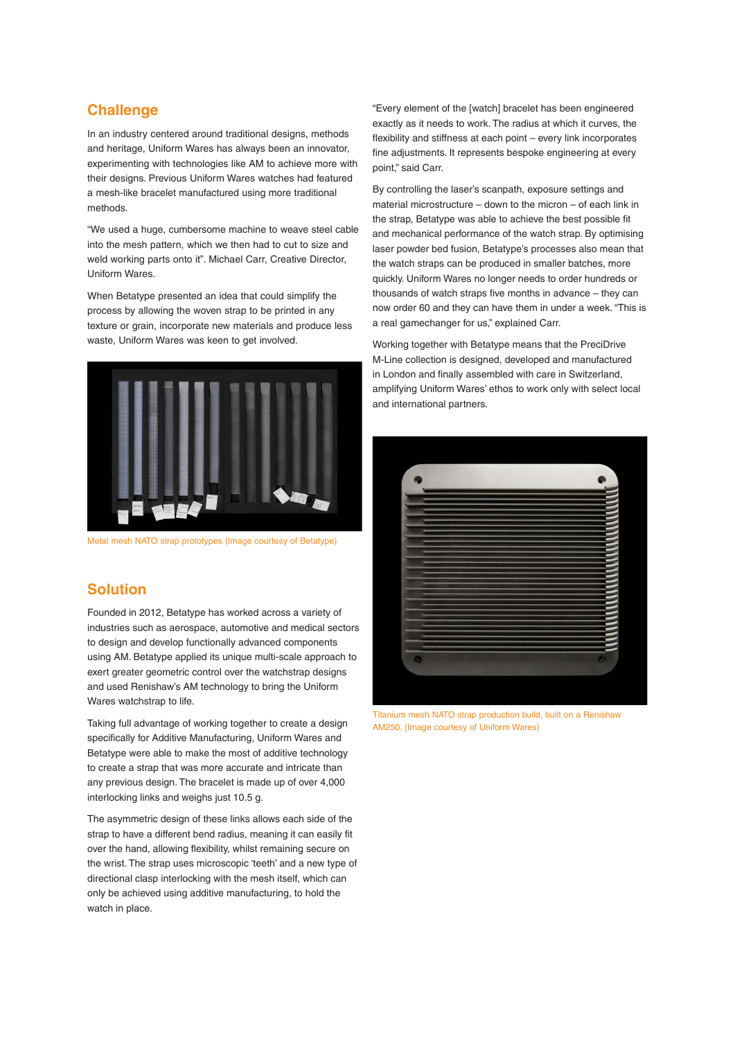### **Challenge**

In an industry centered around traditional designs, methods and heritage, Uniform Wares has always been an innovator, experimenting with technologies like AM to achieve more with their designs. Previous Uniform Wares watches had featured a mesh-like bracelet manufactured using more traditional methods.

"We used a huge, cumbersome machine to weave steel cable into the mesh pattern, which we then had to cut to size and weld working parts onto it". Michael Carr, Creative Director, Uniform Wares.

When Betatype presented an idea that could simplify the process by allowing the woven strap to be printed in any texture or grain, incorporate new materials and produce less waste, Uniform Wares was keen to get involved.



Metal mesh NATO strap prototypes (Image courtesy of Betatype)

## **Solution**

Founded in 2012, Betatype has worked across a variety of industries such as aerospace, automotive and medical sectors to design and develop functionally advanced components using AM. Betatype applied its unique multi-scale approach to exert greater geometric control over the watchstrap designs and used Renishaw's AM technology to bring the Uniform Wares watchstrap to life.

Taking full advantage of working together to create a design specifically for Additive Manufacturing, Uniform Wares and Betatype were able to make the most of additive technology to create a strap that was more accurate and intricate than any previous design. The bracelet is made up of over 4,000 interlocking links and weighs just 10.5 g.

The asymmetric design of these links allows each side of the strap to have a different bend radius, meaning it can easily fit over the hand, allowing flexibility, whilst remaining secure on the wrist. The strap uses microscopic 'teeth' and a new type of directional clasp interlocking with the mesh itself, which can only be achieved using additive manufacturing, to hold the watch in place.

"Every element of the [watch] bracelet has been engineered exactly as it needs to work. The radius at which it curves, the flexibility and stiffness at each point – every link incorporates fine adjustments. It represents bespoke engineering at every point," said Carr.

By controlling the laser's scanpath, exposure settings and material microstructure – down to the micron – of each link in the strap, Betatype was able to achieve the best possible fit and mechanical performance of the watch strap. By optimising laser powder bed fusion, Betatype's processes also mean that the watch straps can be produced in smaller batches, more quickly. Uniform Wares no longer needs to order hundreds or thousands of watch straps five months in advance – they can now order 60 and they can have them in under a week. "This is a real gamechanger for us," explained Carr.

Working together with Betatype means that the PreciDrive M-Line collection is designed, developed and manufactured in London and finally assembled with care in Switzerland, amplifying Uniform Wares' ethos to work only with select local and international partners.



Titanium mesh NATO strap production build, built on a Renishaw AM250. (Image courtesy of Uniform Wares)